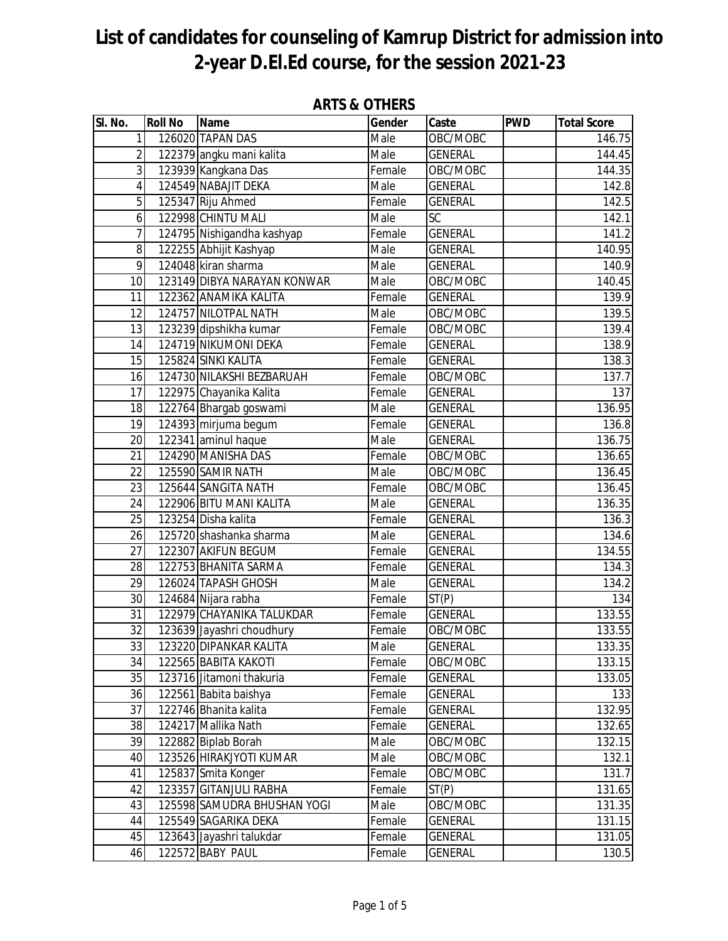| SI. No.         | <b>Roll No</b> | <b>Name</b>                 | Gender | Caste          | <b>PWD</b> | <b>Total Score</b> |
|-----------------|----------------|-----------------------------|--------|----------------|------------|--------------------|
| 1               |                | 126020 TAPAN DAS            | Male   | OBC/MOBC       |            | 146.75             |
| $\overline{2}$  |                | 122379 angku mani kalita    | Male   | <b>GENERAL</b> |            | 144.45             |
| 3               |                | 123939 Kangkana Das         | Female | OBC/MOBC       |            | 144.35             |
| 4               |                | 124549 NABAJIT DEKA         | Male   | <b>GENERAL</b> |            | 142.8              |
| 5               |                | 125347 Riju Ahmed           | Female | <b>GENERAL</b> |            | 142.5              |
| 6               |                | 122998 CHINTU MALI          | Male   | <b>SC</b>      |            | 142.1              |
| 7               |                | 124795 Nishigandha kashyap  | Female | <b>GENERAL</b> |            | 141.2              |
| 8               |                | 122255 Abhijit Kashyap      | Male   | <b>GENERAL</b> |            | 140.95             |
| 9               |                | 124048 kiran sharma         | Male   | <b>GENERAL</b> |            | 140.9              |
| 10              |                | 123149 DIBYA NARAYAN KONWAR | Male   | OBC/MOBC       |            | 140.45             |
| 11              |                | 122362 ANAMIKA KALITA       | Female | <b>GENERAL</b> |            | 139.9              |
| 12              |                | 124757 NILOTPAL NATH        | Male   | OBC/MOBC       |            | 139.5              |
| 13              |                | 123239 dipshikha kumar      | Female | OBC/MOBC       |            | 139.4              |
| 14              |                | 124719 NIKUMONI DEKA        | Female | <b>GENERAL</b> |            | 138.9              |
| 15              |                | 125824 SINKI KALITA         | Female | <b>GENERAL</b> |            | 138.3              |
| 16              |                | 124730 NILAKSHI BEZBARUAH   | Female | OBC/MOBC       |            | 137.7              |
| 17              |                | 122975 Chayanika Kalita     | Female | <b>GENERAL</b> |            | 137                |
| 18              |                | 122764 Bhargab goswami      | Male   | <b>GENERAL</b> |            | 136.95             |
| 19              |                | 124393 mirjuma begum        | Female | <b>GENERAL</b> |            | 136.8              |
| 20              |                | 122341 aminul haque         | Male   | <b>GENERAL</b> |            | 136.75             |
| 21              |                | 124290 MANISHA DAS          | Female | OBC/MOBC       |            | 136.65             |
| 22              |                | 125590 SAMIR NATH           | Male   | OBC/MOBC       |            | 136.45             |
| 23              |                | 125644 SANGITA NATH         | Female | OBC/MOBC       |            | 136.45             |
| 24              |                | 122906 BITU MANI KALITA     | Male   | <b>GENERAL</b> |            | 136.35             |
| 25              |                | 123254 Disha kalita         | Female | <b>GENERAL</b> |            | 136.3              |
| 26              |                | 125720 shashanka sharma     | Male   | <b>GENERAL</b> |            | 134.6              |
| 27              |                | 122307 AKIFUN BEGUM         | Female | <b>GENERAL</b> |            | 134.55             |
| 28              |                | 122753 BHANITA SARMA        | Female | <b>GENERAL</b> |            | 134.3              |
| 29              |                | 126024 TAPASH GHOSH         | Male   | <b>GENERAL</b> |            | 134.2              |
| 30              |                | 124684 Nijara rabha         | Female | ST(P)          |            | 134                |
| $\overline{31}$ |                | 122979 CHAYANIKA TALUKDAR   | Female | <b>GENERAL</b> |            | 133.55             |
| $\overline{32}$ |                | 123639 Jayashri choudhury   | Female | OBC/MOBC       |            | 133.55             |
| 33              |                | 123220 DIPANKAR KALITA      | Male   | <b>GENERAL</b> |            | 133.35             |
| 34              |                | 122565 BABITA KAKOTI        | Female | OBC/MOBC       |            | 133.15             |
| 35              |                | 123716 Jitamoni thakuria    | Female | <b>GENERAL</b> |            | 133.05             |
| 36              |                | 122561 Babita baishya       | Female | <b>GENERAL</b> |            | 133                |
| 37              |                | 122746 Bhanita kalita       | Female | <b>GENERAL</b> |            | 132.95             |
| 38              |                | 124217 Mallika Nath         | Female | <b>GENERAL</b> |            | 132.65             |
| 39              |                | 122882 Biplab Borah         | Male   | OBC/MOBC       |            | 132.15             |
| 40              |                | 123526 HIRAKJYOTI KUMAR     | Male   | OBC/MOBC       |            | 132.1              |
| 41              |                | 125837 Smita Konger         | Female | OBC/MOBC       |            | 131.7              |
| 42              |                | 123357 GITANJULI RABHA      | Female | ST(P)          |            | 131.65             |
| 43              |                | 125598 SAMUDRA BHUSHAN YOGI | Male   | OBC/MOBC       |            | 131.35             |
| 44              |                | 125549 SAGARIKA DEKA        | Female | <b>GENERAL</b> |            | 131.15             |
| 45              |                | 123643 Jayashri talukdar    | Female | GENERAL        |            | 131.05             |
| 46              |                | 122572 BABY PAUL            | Female | <b>GENERAL</b> |            | 130.5              |

#### **ARTS & OTHERS**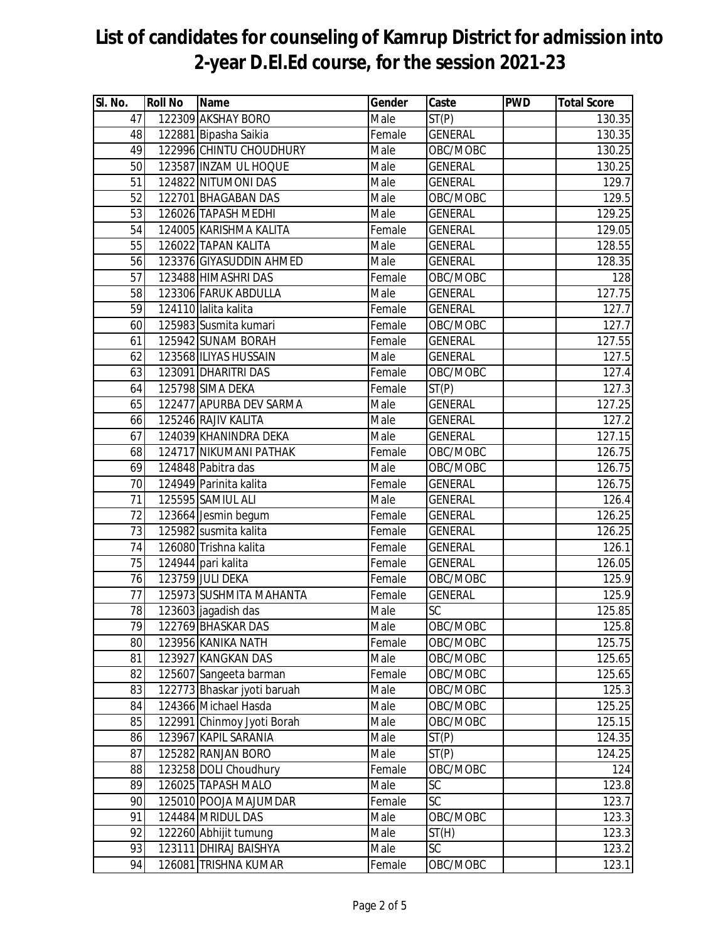| SI. No. | <b>Roll No</b> | Name                        | Gender | Caste              | <b>PWD</b> | <b>Total Score</b> |
|---------|----------------|-----------------------------|--------|--------------------|------------|--------------------|
| 47      |                | 122309 AKSHAY BORO          | Male   | $\overline{ST}(P)$ |            | 130.35             |
| 48      |                | 122881 Bipasha Saikia       | Female | <b>GENERAL</b>     |            | 130.35             |
| 49      |                | 122996 CHINTU CHOUDHURY     | Male   | OBC/MOBC           |            | 130.25             |
| 50      |                | 123587 INZAM UL HOQUE       | Male   | <b>GENERAL</b>     |            | 130.25             |
| 51      |                | 124822 NITUMONI DAS         | Male   | <b>GENERAL</b>     |            | 129.7              |
| 52      |                | 122701 BHAGABAN DAS         | Male   | OBC/MOBC           |            | 129.5              |
| 53      |                | 126026 TAPASH MEDHI         | Male   | <b>GENERAL</b>     |            | 129.25             |
| 54      |                | 124005 KARISHMA KALITA      | Female | <b>GENERAL</b>     |            | 129.05             |
| 55      |                | 126022 TAPAN KALITA         | Male   | <b>GENERAL</b>     |            | 128.55             |
| 56      |                | 123376 GIYASUDDIN AHMED     | Male   | <b>GENERAL</b>     |            | 128.35             |
| 57      |                | 123488 HIMASHRI DAS         | Female | OBC/MOBC           |            | 128                |
| 58      |                | 123306 FARUK ABDULLA        | Male   | <b>GENERAL</b>     |            | 127.75             |
| 59      |                | 124110 lalita kalita        | Female | <b>GENERAL</b>     |            | 127.7              |
| 60      |                | 125983 Susmita kumari       | Female | OBC/MOBC           |            | 127.7              |
| 61      |                | 125942 SUNAM BORAH          | Female | <b>GENERAL</b>     |            | 127.55             |
| 62      |                | 123568 ILIYAS HUSSAIN       | Male   | <b>GENERAL</b>     |            | 127.5              |
| 63      |                | 123091 DHARITRI DAS         | Female | OBC/MOBC           |            | 127.4              |
| 64      |                | 125798 SIMA DEKA            | Female | ST(P)              |            | 127.3              |
| 65      |                | 122477 APURBA DEV SARMA     | Male   | <b>GENERAL</b>     |            | 127.25             |
| 66      |                | 125246 RAJIV KALITA         | Male   | <b>GENERAL</b>     |            | 127.2              |
| 67      |                | 124039 KHANINDRA DEKA       | Male   | <b>GENERAL</b>     |            | 127.15             |
| 68      |                | 124717 NIKUMANI PATHAK      | Female | OBC/MOBC           |            | 126.75             |
| 69      |                | 124848 Pabitra das          | Male   | OBC/MOBC           |            | 126.75             |
| 70      |                | 124949 Parinita kalita      | Female | <b>GENERAL</b>     |            | 126.75             |
| 71      |                | 125595 SAMIUL ALI           | Male   | <b>GENERAL</b>     |            | 126.4              |
| 72      |                | 123664 Jesmin begum         | Female | <b>GENERAL</b>     |            | 126.25             |
| 73      |                | 125982 susmita kalita       | Female | <b>GENERAL</b>     |            | 126.25             |
| 74      |                | 126080 Trishna kalita       | Female | <b>GENERAL</b>     |            | 126.1              |
| 75      |                | 124944 pari kalita          | Female | <b>GENERAL</b>     |            | 126.05             |
| 76      |                | 123759 JULI DEKA            | Female | OBC/MOBC           |            | 125.9              |
| 77      |                | 125973 SUSHMITA MAHANTA     | Female | <b>GENERAL</b>     |            | 125.9              |
| 78      |                | 123603 jagadish das         | Male   | <b>SC</b>          |            | 125.85             |
| 79      |                | 122769 BHASKAR DAS          | Male   | OBC/MOBC           |            | 125.8              |
| 80      |                | 123956 KANIKA NATH          | Female | OBC/MOBC           |            | 125.75             |
| 81      |                | 123927 KANGKAN DAS          | Male   | OBC/MOBC           |            | 125.65             |
| 82      |                | 125607 Sangeeta barman      | Female | OBC/MOBC           |            | 125.65             |
| 83      |                | 122773 Bhaskar jyoti baruah | Male   | OBC/MOBC           |            | 125.3              |
| 84      |                | 124366 Michael Hasda        | Male   | OBC/MOBC           |            | 125.25             |
| 85      |                | 122991 Chinmoy Jyoti Borah  | Male   | OBC/MOBC           |            | 125.15             |
| 86      |                | 123967 KAPIL SARANIA        | Male   | ST(P)              |            | 124.35             |
| 87      |                | 125282 RANJAN BORO          | Male   | ST(P)              |            | 124.25             |
| 88      |                | 123258 DOLI Choudhury       | Female | OBC/MOBC           |            | 124                |
| 89      |                | 126025 TAPASH MALO          | Male   | SC                 |            | 123.8              |
| 90      |                | 125010 POOJA MAJUMDAR       | Female | <b>SC</b>          |            | 123.7              |
| 91      |                | 124484 MRIDUL DAS           | Male   | OBC/MOBC           |            | 123.3              |
| 92      |                | 122260 Abhijit tumung       | Male   | ST(H)              |            | 123.3              |
| 93      |                | 123111 DHIRAJ BAISHYA       | Male   | <b>SC</b>          |            | 123.2              |
| 94      |                | 126081 TRISHNA KUMAR        | Female | OBC/MOBC           |            | 123.1              |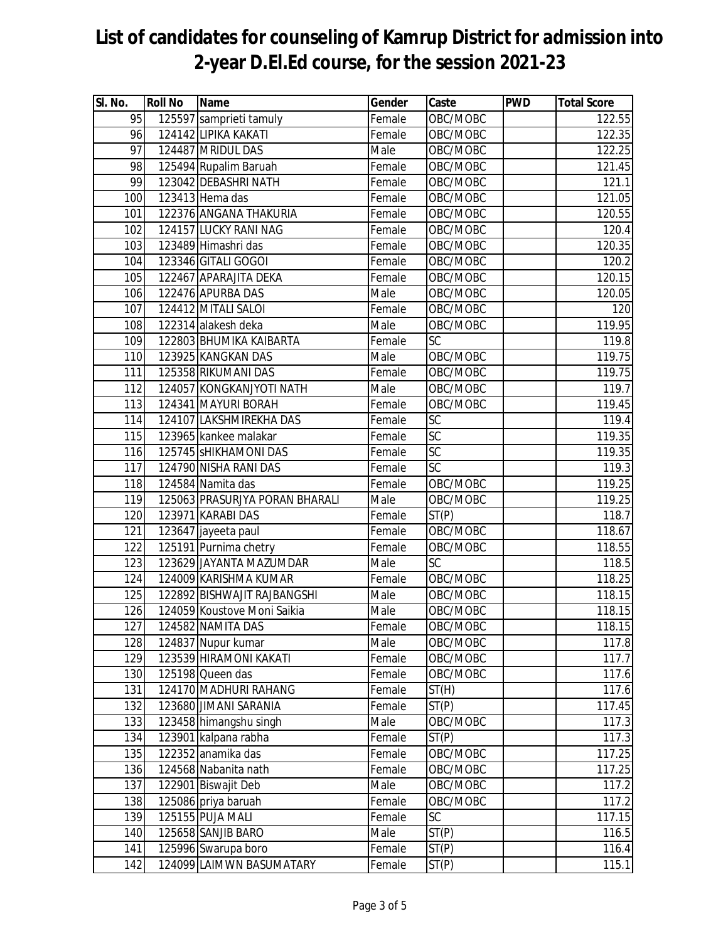| SI. No. | <b>Roll No</b> | <b>Name</b>                    | Gender                     | Caste           | <b>PWD</b> | <b>Total Score</b> |
|---------|----------------|--------------------------------|----------------------------|-----------------|------------|--------------------|
| 95      |                | 125597 samprieti tamuly        | Female                     | OBC/MOBC        |            | 122.55             |
| 96      |                | 124142 LIPIKA KAKATI           | Female                     | OBC/MOBC        |            | 122.35             |
| 97      |                | 124487 MRIDUL DAS              | Male                       | OBC/MOBC        |            | 122.25             |
| 98      |                | 125494 Rupalim Baruah          | Female                     | OBC/MOBC        |            | 121.45             |
| 99      |                | 123042 DEBASHRI NATH           | Female                     | OBC/MOBC        |            | 121.1              |
| 100     |                | 123413 Hema das                | Female                     | OBC/MOBC        |            | 121.05             |
| 101     |                | 122376 ANGANA THAKURIA         | Female                     | OBC/MOBC        |            | 120.55             |
| 102     |                | 124157 LUCKY RANI NAG          | Female                     | OBC/MOBC        |            | 120.4              |
| 103     |                | 123489 Himashri das            | Female                     | OBC/MOBC        |            | 120.35             |
| 104     |                | 123346 GITALI GOGOI            | Female                     | OBC/MOBC        |            | 120.2              |
| 105     |                | 122467 APARAJITA DEKA          | Female                     | OBC/MOBC        |            | 120.15             |
| 106     |                | 122476 APURBA DAS              | $\overline{\mathsf{Male}}$ | OBC/MOBC        |            | 120.05             |
| 107     |                | 124412 MITALI SALOI            | Female                     | OBC/MOBC        |            | 120                |
| 108     |                | 122314 alakesh deka            | Male                       | OBC/MOBC        |            | 119.95             |
| 109     |                | 122803 BHUMIKA KAIBARTA        | Female                     | $\overline{SC}$ |            | 119.8              |
| 110     |                | 123925 KANGKAN DAS             | Male                       | OBC/MOBC        |            | 119.75             |
| 111     |                | 125358 RIKUMANI DAS            | Female                     | OBC/MOBC        |            | 119.75             |
| 112     |                | 124057 KONGKANJYOTI NATH       | Male                       | OBC/MOBC        |            | 119.7              |
| 113     |                | 124341 MAYURI BORAH            | Female                     | OBC/MOBC        |            | 119.45             |
| 114     |                | 124107 LAKSHMIREKHA DAS        | Female                     | $\overline{SC}$ |            | 119.4              |
| 115     |                | 123965 kankee malakar          | Female                     | $\overline{SC}$ |            | 119.35             |
| 116     |                | 125745 SHIKHAMONI DAS          | Female                     | $\overline{SC}$ |            | 119.35             |
| 117     |                | 124790 NISHA RANI DAS          | Female                     | SC              |            | 119.3              |
| 118     |                | 124584 Namita das              | Female                     | OBC/MOBC        |            | 119.25             |
| 119     |                | 125063 PRASURJYA PORAN BHARALI | Male                       | OBC/MOBC        |            | 119.25             |
| 120     |                | 123971 KARABI DAS              | Female                     | ST(P)           |            | 118.7              |
| 121     |                | 123647 jayeeta paul            | Female                     | OBC/MOBC        |            | 118.67             |
| 122     |                | 125191 Purnima chetry          | Female                     | OBC/MOBC        |            | 118.55             |
| 123     |                | 123629 JAYANTA MAZUMDAR        | Male                       | <b>SC</b>       |            | 118.5              |
| 124     |                | 124009 KARISHMA KUMAR          | Female                     | OBC/MOBC        |            | 118.25             |
| 125     |                | 122892 BISHWAJIT RAJBANGSHI    | Male                       | OBC/MOBC        |            | 118.15             |
| 126     |                | 124059 Koustove Moni Saikia    | Male                       | OBC/MOBC        |            | 118.15             |
| 127     |                | 124582 NAMITA DAS              | Female                     | OBC/MOBC        |            | 118.15             |
| 128     |                | 124837 Nupur kumar             | Male                       | OBC/MOBC        |            | 117.8              |
| 129     |                | 123539 HIRAMONI KAKATI         | Female                     | OBC/MOBC        |            | 117.7              |
| 130     |                | 125198 Queen das               | Female                     | OBC/MOBC        |            | 117.6              |
| 131     |                | 124170 MADHURI RAHANG          | Female                     | ST(H)           |            | 117.6              |
| 132     |                | 123680 JIMANI SARANIA          | Female                     | ST(P)           |            | 117.45             |
| 133     |                | 123458 himangshu singh         | Male                       | OBC/MOBC        |            | 117.3              |
| 134     |                | 123901 kalpana rabha           | Female                     | ST(P)           |            | 117.3              |
| 135     |                | 122352 anamika das             | Female                     | OBC/MOBC        |            | 117.25             |
| 136     |                | 124568 Nabanita nath           | Female                     | OBC/MOBC        |            | 117.25             |
| 137     |                | 122901 Biswajit Deb            | Male                       | OBC/MOBC        |            | 117.2              |
| 138     |                | 125086 priya baruah            | Female                     | OBC/MOBC        |            | 117.2              |
| 139     |                | 125155 PUJA MALI               | Female                     | SC              |            | 117.15             |
| 140     |                | 125658 SANJIB BARO             | Male                       | ST(P)           |            | 116.5              |
| 141     |                | 125996 Swarupa boro            | Female                     | ST(P)           |            | 116.4              |
| 142     |                | 124099 LAIMWN BASUMATARY       | Female                     | ST(P)           |            | 115.1              |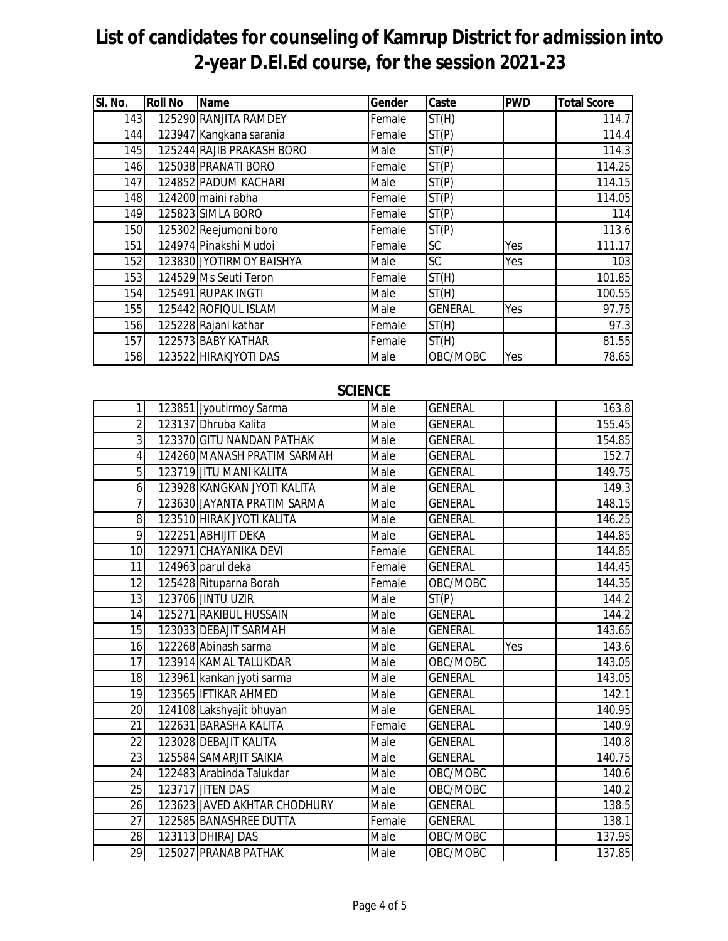| SI. No. | <b>Roll No</b> | <b>Name</b>               | Gender | Caste          | <b>PWD</b> | <b>Total Score</b> |
|---------|----------------|---------------------------|--------|----------------|------------|--------------------|
| 143     |                | 125290 RANJITA RAMDEY     | Female | ST(H)          |            | 114.7              |
| 144     |                | 123947 Kangkana sarania   | Female | ST(P)          |            | 114.4              |
| 145     |                | 125244 RAJIB PRAKASH BORO | Male   | ST(P)          |            | 114.3              |
| 146     |                | 125038 PRANATI BORO       | Female | ST(P)          |            | 114.25             |
| 147     |                | 124852 PADUM KACHARI      | Male   | ST(P)          |            | 114.15             |
| 148     |                | 124200 maini rabha        | Female | ST(P)          |            | 114.05             |
| 149     |                | 125823 SIMLA BORO         | Female | ST(P)          |            | 114                |
| 150     |                | 125302 Reejumoni boro     | Female | ST(P)          |            | 113.6              |
| 151     |                | 124974 Pinakshi Mudoi     | Female | SC             | Yes        | 111.17             |
| 152     |                | 123830 JYOTIRMOY BAISHYA  | Male   | SC.            | Yes        | 103                |
| 153     |                | 124529 Ms Seuti Teron     | Female | ST(H)          |            | 101.85             |
| 154     |                | 125491 RUPAK INGTI        | Male   | ST(H)          |            | 100.55             |
| 155     |                | 125442 ROFIQUL ISLAM      | Male   | <b>GENERAL</b> | Yes        | 97.75              |
| 156     |                | 125228 Rajani kathar      | Female | ST(H)          |            | 97.3               |
| 157     |                | 122573 BABY KATHAR        | Female | ST(H)          |            | 81.55              |
| 158     |                | 123522 HIRAKJYOTI DAS     | Male   | OBC/MOBC       | Yes        | 78.65              |

#### **SCIENCE**

| 1              | 123851 Jyoutirmoy Sarma      | Male   | <b>GENERAL</b> |     | 163.8  |
|----------------|------------------------------|--------|----------------|-----|--------|
| $\overline{2}$ | 123137 Dhruba Kalita         | Male   | <b>GENERAL</b> |     | 155.45 |
| 3              | 123370 GITU NANDAN PATHAK    | Male   | <b>GENERAL</b> |     | 154.85 |
| $\overline{4}$ | 124260 MANASH PRATIM SARMAH  | Male   | <b>GENERAL</b> |     | 152.7  |
| 5              | 123719 JITU MANI KALITA      | Male   | <b>GENERAL</b> |     | 149.75 |
| 6              | 123928 KANGKAN JYOTI KALITA  | Male   | <b>GENERAL</b> |     | 149.3  |
| 7              | 123630 JAYANTA PRATIM SARMA  | Male   | <b>GENERAL</b> |     | 148.15 |
| 8              | 123510 HIRAK JYOTI KALITA    | Male   | <b>GENERAL</b> |     | 146.25 |
| 9              | 122251 ABHIJIT DEKA          | Male   | <b>GENERAL</b> |     | 144.85 |
| 10             | 122971 CHAYANIKA DEVI        | Female | <b>GENERAL</b> |     | 144.85 |
| 11             | 124963 parul deka            | Female | <b>GENERAL</b> |     | 144.45 |
| 12             | 125428 Rituparna Borah       | Female | OBC/MOBC       |     | 144.35 |
| 13             | 123706 JINTU UZIR            | Male   | ST(P)          |     | 144.2  |
| 14             | 125271 RAKIBUL HUSSAIN       | Male   | <b>GENERAL</b> |     | 144.2  |
| 15             | 123033 DEBAJIT SARMAH        | Male   | <b>GENERAL</b> |     | 143.65 |
| 16             | 122268 Abinash sarma         | Male   | <b>GENERAL</b> | Yes | 143.6  |
| 17             | 123914 KAMAL TALUKDAR        | Male   | OBC/MOBC       |     | 143.05 |
| 18             | 123961 kankan jyoti sarma    | Male   | <b>GENERAL</b> |     | 143.05 |
| 19             | 123565 IFTIKAR AHMED         | Male   | <b>GENERAL</b> |     | 142.1  |
| 20             | 124108 Lakshyajit bhuyan     | Male   | <b>GENERAL</b> |     | 140.95 |
| 21             | 122631 BARASHA KALITA        | Female | <b>GENERAL</b> |     | 140.9  |
| 22             | 123028 DEBAJIT KALITA        | Male   | <b>GENERAL</b> |     | 140.8  |
| 23             | 125584 SAMARJIT SAIKIA       | Male   | <b>GENERAL</b> |     | 140.75 |
| 24             | 122483 Arabinda Talukdar     | Male   | OBC/MOBC       |     | 140.6  |
| 25             | 123717 JITEN DAS             | Male   | OBC/MOBC       |     | 140.2  |
| 26             | 123623 JAVED AKHTAR CHODHURY | Male   | <b>GENERAL</b> |     | 138.5  |
| 27             | 122585 BANASHREE DUTTA       | Female | <b>GENERAL</b> |     | 138.1  |
| 28             | 123113 DHIRAJ DAS            | Male   | OBC/MOBC       |     | 137.95 |
| 29             | 125027 PRANAB PATHAK         | Male   | OBC/MOBC       |     | 137.85 |